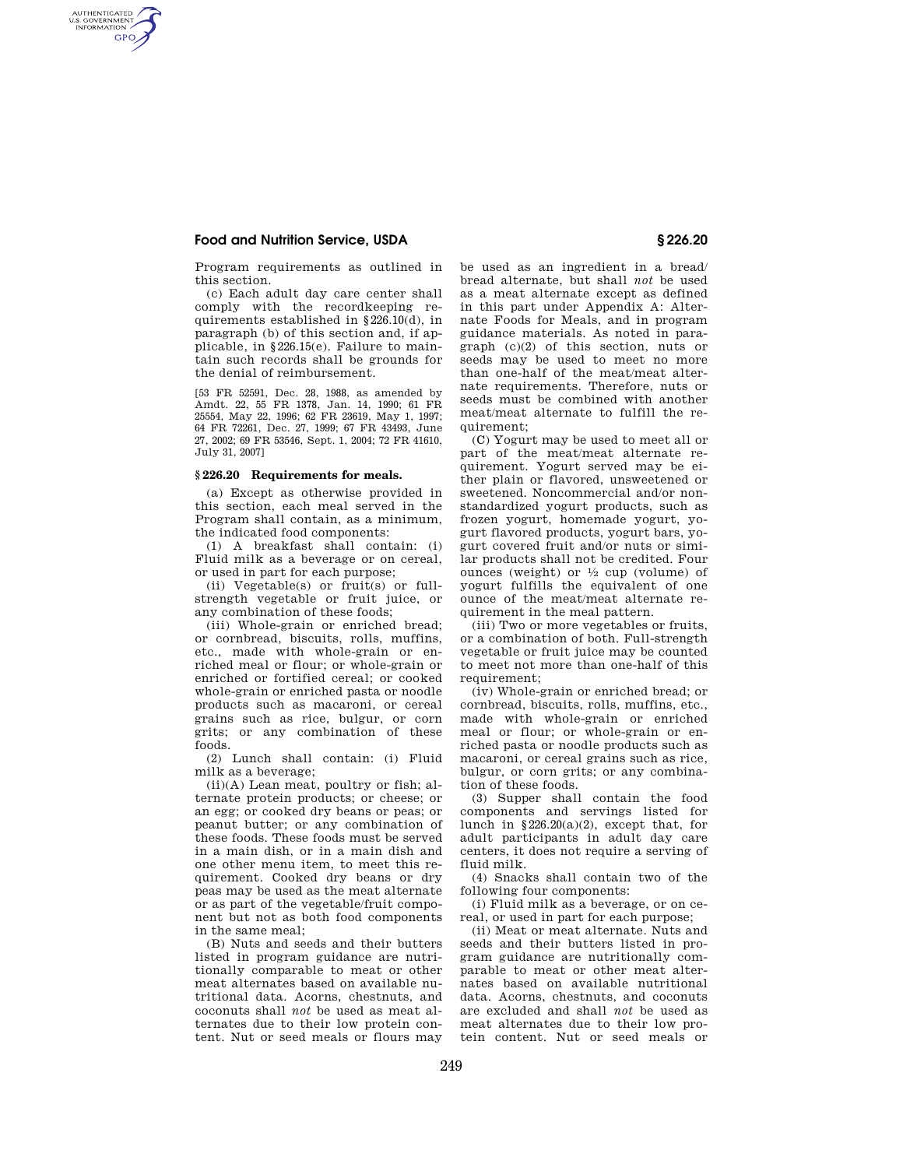AUTHENTICATED<br>U.S. GOVERNMENT<br>INFORMATION **GPO** 

> Program requirements as outlined in this section.

> (c) Each adult day care center shall comply with the recordkeeping requirements established in §226.10(d), in paragraph (b) of this section and, if applicable, in §226.15(e). Failure to maintain such records shall be grounds for the denial of reimbursement.

> [53 FR 52591, Dec. 28, 1988, as amended by Amdt. 22, 55 FR 1378, Jan. 14, 1990; 61 FR 25554, May 22, 1996; 62 FR 23619, May 1, 1997; 64 FR 72261, Dec. 27, 1999; 67 FR 43493, June 27, 2002; 69 FR 53546, Sept. 1, 2004; 72 FR 41610, July 31, 2007]

#### **§ 226.20 Requirements for meals.**

(a) Except as otherwise provided in this section, each meal served in the Program shall contain, as a minimum, the indicated food components:

(1) A breakfast shall contain: (i) Fluid milk as a beverage or on cereal, or used in part for each purpose;

(ii) Vegetable(s) or fruit(s) or fullstrength vegetable or fruit juice, or any combination of these foods;

(iii) Whole-grain or enriched bread; or cornbread, biscuits, rolls, muffins, etc., made with whole-grain or enriched meal or flour; or whole-grain or enriched or fortified cereal; or cooked whole-grain or enriched pasta or noodle products such as macaroni, or cereal grains such as rice, bulgur, or corn grits; or any combination of these foods.

(2) Lunch shall contain: (i) Fluid milk as a beverage;

(ii)(A) Lean meat, poultry or fish; alternate protein products; or cheese; or an egg; or cooked dry beans or peas; or peanut butter; or any combination of these foods. These foods must be served in a main dish, or in a main dish and one other menu item, to meet this requirement. Cooked dry beans or dry peas may be used as the meat alternate or as part of the vegetable/fruit component but not as both food components in the same meal;

(B) Nuts and seeds and their butters listed in program guidance are nutritionally comparable to meat or other meat alternates based on available nutritional data. Acorns, chestnuts, and coconuts shall *not* be used as meat alternates due to their low protein content. Nut or seed meals or flours may

be used as an ingredient in a bread/ bread alternate, but shall *not* be used as a meat alternate except as defined in this part under Appendix A: Alternate Foods for Meals, and in program guidance materials. As noted in paragraph (c)(2) of this section, nuts or seeds may be used to meet no more than one-half of the meat/meat alternate requirements. Therefore, nuts or seeds must be combined with another meat/meat alternate to fulfill the requirement;

(C) Yogurt may be used to meet all or part of the meat/meat alternate requirement. Yogurt served may be either plain or flavored, unsweetened or sweetened. Noncommercial and/or nonstandardized yogurt products, such as frozen yogurt, homemade yogurt, yogurt flavored products, yogurt bars, yogurt covered fruit and/or nuts or similar products shall not be credited. Four ounces (weight) or  $\frac{1}{2}$  cup (volume) of yogurt fulfills the equivalent of one ounce of the meat/meat alternate requirement in the meal pattern.

(iii) Two or more vegetables or fruits, or a combination of both. Full-strength vegetable or fruit juice may be counted to meet not more than one-half of this requirement:

(iv) Whole-grain or enriched bread; or cornbread, biscuits, rolls, muffins, etc., made with whole-grain or enriched meal or flour; or whole-grain or enriched pasta or noodle products such as macaroni, or cereal grains such as rice, bulgur, or corn grits; or any combination of these foods.

(3) Supper shall contain the food components and servings listed for lunch in §226.20(a)(2), except that, for adult participants in adult day care centers, it does not require a serving of fluid milk.

(4) Snacks shall contain two of the following four components:

(i) Fluid milk as a beverage, or on cereal, or used in part for each purpose;

(ii) Meat or meat alternate. Nuts and seeds and their butters listed in program guidance are nutritionally comparable to meat or other meat alternates based on available nutritional data. Acorns, chestnuts, and coconuts are excluded and shall *not* be used as meat alternates due to their low protein content. Nut or seed meals or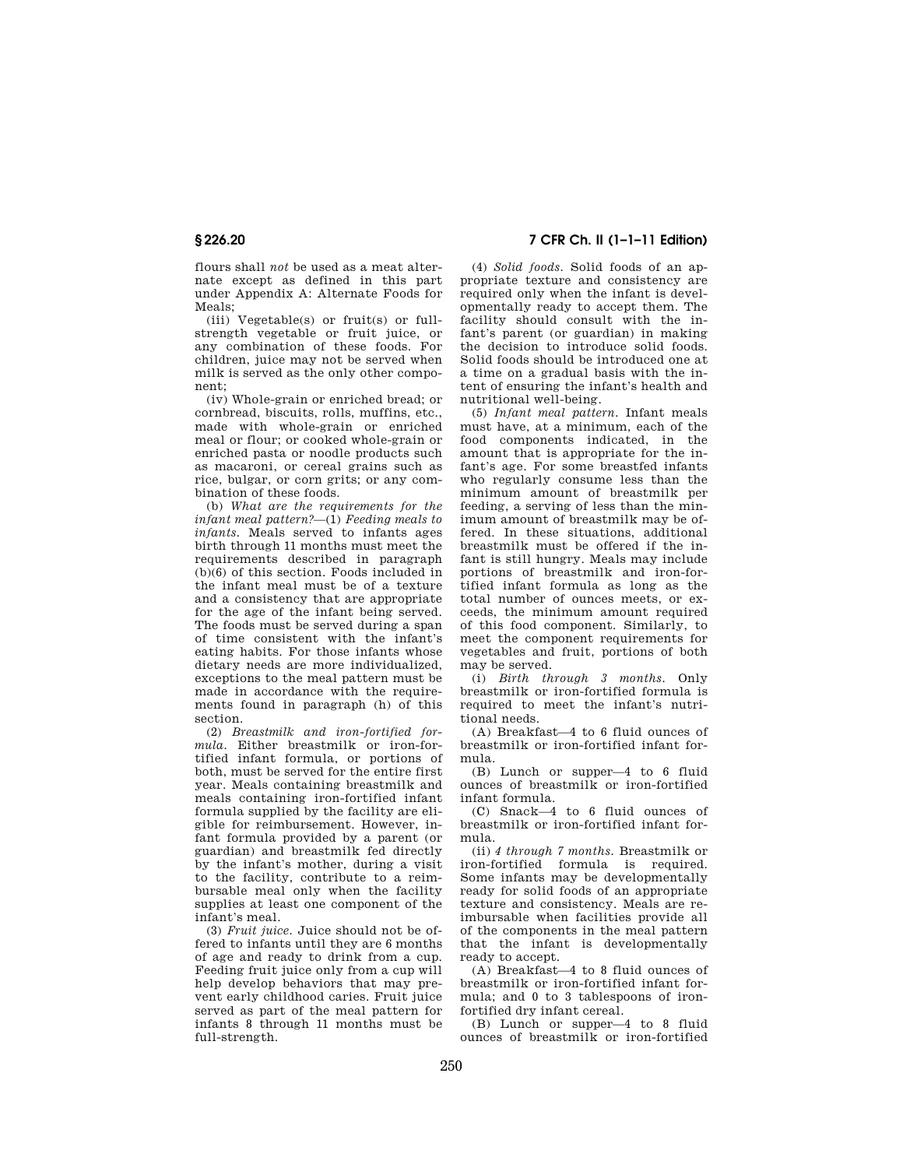flours shall *not* be used as a meat alternate except as defined in this part under Appendix A: Alternate Foods for Meals;

(iii) Vegetable(s) or fruit(s) or fullstrength vegetable or fruit juice, or any combination of these foods. For children, juice may not be served when milk is served as the only other component;

(iv) Whole-grain or enriched bread; or cornbread, biscuits, rolls, muffins, etc., made with whole-grain or enriched meal or flour; or cooked whole-grain or enriched pasta or noodle products such as macaroni, or cereal grains such as rice, bulgar, or corn grits; or any combination of these foods.

(b) *What are the requirements for the infant meal pattern?*—(1) *Feeding meals to infants.* Meals served to infants ages birth through 11 months must meet the requirements described in paragraph (b)(6) of this section. Foods included in the infant meal must be of a texture and a consistency that are appropriate for the age of the infant being served. The foods must be served during a span of time consistent with the infant's eating habits. For those infants whose dietary needs are more individualized, exceptions to the meal pattern must be made in accordance with the requirements found in paragraph (h) of this section.

(2) *Breastmilk and iron-fortified formula.* Either breastmilk or iron-fortified infant formula, or portions of both, must be served for the entire first year. Meals containing breastmilk and meals containing iron-fortified infant formula supplied by the facility are eligible for reimbursement. However, infant formula provided by a parent (or guardian) and breastmilk fed directly by the infant's mother, during a visit to the facility, contribute to a reimbursable meal only when the facility supplies at least one component of the infant's meal.

(3) *Fruit juice.* Juice should not be offered to infants until they are 6 months of age and ready to drink from a cup. Feeding fruit juice only from a cup will help develop behaviors that may prevent early childhood caries. Fruit juice served as part of the meal pattern for infants 8 through 11 months must be full-strength.

## **§ 226.20 7 CFR Ch. II (1–1–11 Edition)**

(4) *Solid foods.* Solid foods of an appropriate texture and consistency are required only when the infant is developmentally ready to accept them. The facility should consult with the infant's parent (or guardian) in making the decision to introduce solid foods. Solid foods should be introduced one at a time on a gradual basis with the intent of ensuring the infant's health and nutritional well-being.

(5) *Infant meal pattern.* Infant meals must have, at a minimum, each of the food components indicated, in the amount that is appropriate for the infant's age. For some breastfed infants who regularly consume less than the minimum amount of breastmilk per feeding, a serving of less than the minimum amount of breastmilk may be offered. In these situations, additional breastmilk must be offered if the infant is still hungry. Meals may include portions of breastmilk and iron-fortified infant formula as long as the total number of ounces meets, or exceeds, the minimum amount required of this food component. Similarly, to meet the component requirements for vegetables and fruit, portions of both may be served.

(i) *Birth through 3 months.* Only breastmilk or iron-fortified formula is required to meet the infant's nutritional needs.

(A) Breakfast—4 to 6 fluid ounces of breastmilk or iron-fortified infant formula.

(B) Lunch or supper—4 to 6 fluid ounces of breastmilk or iron-fortified infant formula.

(C) Snack—4 to 6 fluid ounces of breastmilk or iron-fortified infant formula.

(ii) *4 through 7 months.* Breastmilk or iron-fortified formula is required. Some infants may be developmentally ready for solid foods of an appropriate texture and consistency. Meals are reimbursable when facilities provide all of the components in the meal pattern that the infant is developmentally ready to accept.

(A) Breakfast—4 to 8 fluid ounces of breastmilk or iron-fortified infant formula; and 0 to 3 tablespoons of ironfortified dry infant cereal.

(B) Lunch or supper—4 to 8 fluid ounces of breastmilk or iron-fortified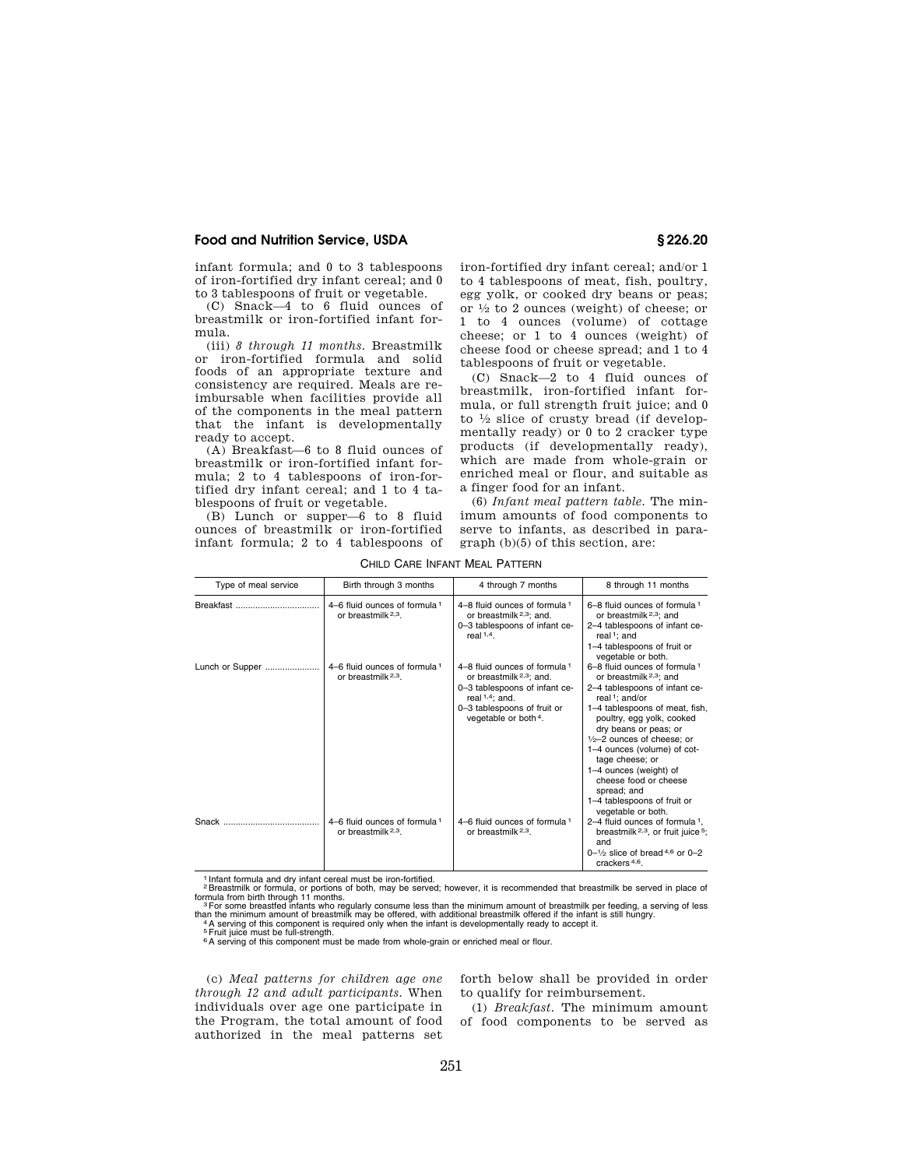infant formula; and 0 to 3 tablespoons of iron-fortified dry infant cereal; and 0 to 3 tablespoons of fruit or vegetable.

(C) Snack—4 to 6 fluid ounces of breastmilk or iron-fortified infant formula.

(iii) *8 through 11 months.* Breastmilk or iron-fortified formula and solid foods of an appropriate texture and consistency are required. Meals are reimbursable when facilities provide all of the components in the meal pattern that the infant is developmentally ready to accept.

(A) Breakfast—6 to 8 fluid ounces of breastmilk or iron-fortified infant formula; 2 to 4 tablespoons of iron-fortified dry infant cereal; and 1 to 4 tablespoons of fruit or vegetable.

(B) Lunch or supper—6 to 8 fluid ounces of breastmilk or iron-fortified infant formula; 2 to 4 tablespoons of iron-fortified dry infant cereal; and/or 1 to 4 tablespoons of meat, fish, poultry, egg yolk, or cooked dry beans or peas; or 1⁄2 to 2 ounces (weight) of cheese; or 1 to 4 ounces (volume) of cottage cheese; or 1 to 4 ounces (weight) of cheese food or cheese spread; and 1 to 4 tablespoons of fruit or vegetable.

(C) Snack—2 to 4 fluid ounces of breastmilk, iron-fortified infant formula, or full strength fruit juice; and 0 to 1⁄2 slice of crusty bread (if developmentally ready) or 0 to 2 cracker type products (if developmentally ready), which are made from whole-grain or enriched meal or flour, and suitable as a finger food for an infant.

(6) *Infant meal pattern table.* The minimum amounts of food components to serve to infants, as described in paragraph (b)(5) of this section, are:

| Type of meal service | Birth through 3 months                                          | 4 through 7 months                                                                                                                                                                            | 8 through 11 months                                                                                                                                                                                                                                                                                                                                                                                                                 |
|----------------------|-----------------------------------------------------------------|-----------------------------------------------------------------------------------------------------------------------------------------------------------------------------------------------|-------------------------------------------------------------------------------------------------------------------------------------------------------------------------------------------------------------------------------------------------------------------------------------------------------------------------------------------------------------------------------------------------------------------------------------|
|                      | 4–6 fluid ounces of formula 1<br>or breastmilk <sup>2,3</sup> . | 4–8 fluid ounces of formula 1<br>or breastmilk <sup>2,3</sup> ; and.<br>0-3 tablespoons of infant ce-<br>real $1,4$ .                                                                         | 6-8 fluid ounces of formula 1<br>or breastmilk <sup>2,3</sup> ; and<br>2-4 tablespoons of infant ce-<br>real <sup>1</sup> ; and<br>1-4 tablespoons of fruit or<br>vegetable or both.                                                                                                                                                                                                                                                |
| Lunch or Supper      | 4-6 fluid ounces of formula 1<br>or breastmilk <sup>2,3</sup> . | 4–8 fluid ounces of formula 1<br>or breastmilk <sup>2,3</sup> ; and.<br>0-3 tablespoons of infant ce-<br>real $1,4$ ; and.<br>0-3 tablespoons of fruit or<br>vegetable or both <sup>4</sup> . | 6-8 fluid ounces of formula 1<br>or breastmilk <sup>2,3</sup> ; and<br>2-4 tablespoons of infant ce-<br>real <sup>1</sup> : and/or<br>1–4 tablespoons of meat, fish,<br>poultry, egg yolk, cooked<br>dry beans or peas; or<br>$1/2-2$ ounces of cheese; or<br>1-4 ounces (volume) of cot-<br>tage cheese; or<br>1-4 ounces (weight) of<br>cheese food or cheese<br>spread: and<br>1-4 tablespoons of fruit or<br>vegetable or both. |
| Snack                | 4–6 fluid ounces of formula 1<br>or breastmilk <sup>2,3</sup> . | 4–6 fluid ounces of formula 1<br>or breastmilk <sup>2,3</sup> .                                                                                                                               | 2-4 fluid ounces of formula $1$ ,<br>breastmilk $2,3$ , or fruit juice $5$ ;<br>and<br>$0-1/2$ slice of bread 4,6 or 0-2<br>crackers <sup>4,6</sup> .                                                                                                                                                                                                                                                                               |

CHILD CARE INFANT MEAL PATTERN

1 Infant formula and dry infant cereal must be iron-fortified.<br><sup>2</sup> Breastmilk or formula, or portions of both, may be served; however, it is recommended that breastmilk be served in place of<br>formula from birth through 11 m

than the minimum amount of breastmilk may be offered, with additional breastmilk offered if the infant is still hungry.<br>"A serving of this component is required only when the infant is developmentally ready to accept it.<br>F

<sup>6</sup>A serving of this component must be made from whole-grain or enriched meal or flour.

(c) *Meal patterns for children age one through 12 and adult participants.* When individuals over age one participate in the Program, the total amount of food authorized in the meal patterns set forth below shall be provided in order to qualify for reimbursement.

(1) *Breakfast.* The minimum amount of food components to be served as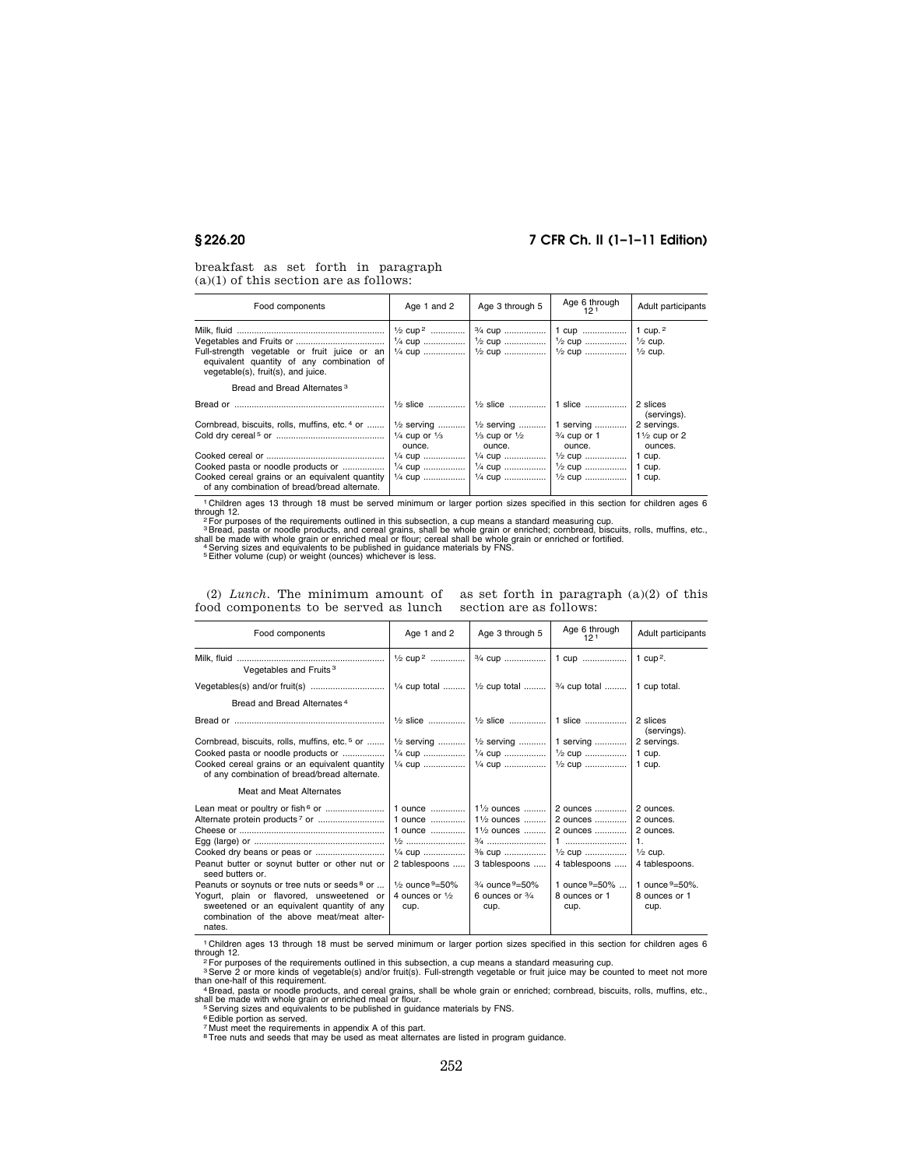# **§ 226.20 7 CFR Ch. II (1–1–11 Edition)**

breakfast as set forth in paragraph  $(a)(1)$  of this section are as follows:

| Food components                                                                                                                 | Age 1 and 2                                                              | Age 3 through 5                              | Age 6 through<br>121                            | Adult participants                            |
|---------------------------------------------------------------------------------------------------------------------------------|--------------------------------------------------------------------------|----------------------------------------------|-------------------------------------------------|-----------------------------------------------|
| Full-strength vegetable or fruit juice or an<br>equivalent quantity of any combination of<br>vegetable(s), fruit(s), and juice. | $\frac{1}{2}$ cup <sup>2</sup><br>$\frac{1}{4}$ cup<br>$\frac{1}{4}$ cup | $\frac{3}{4}$ cup                            | 1 cup<br>$\frac{1}{2}$ cup<br>$\frac{1}{2}$ cup | 1 cup. $^2$<br>  ½ cup.<br>$\frac{1}{2}$ cup. |
| Bread and Bread Alternates <sup>3</sup>                                                                                         |                                                                          |                                              |                                                 |                                               |
|                                                                                                                                 | $\frac{1}{2}$ slice                                                      | l 1∕∍ slice                                  | 1 slice                                         | 2 slices<br>(servings).                       |
| Cornbread, biscuits, rolls, muffins, etc. <sup>4</sup> or                                                                       | $\frac{1}{2}$ serving                                                    | $\frac{1}{2}$ serving                        | 1 serving                                       | 2 servings.                                   |
|                                                                                                                                 | $\frac{1}{4}$ cup or $\frac{1}{3}$<br>ounce.                             | $\frac{1}{3}$ cup or $\frac{1}{2}$<br>ounce. | $\frac{3}{4}$ cup or 1<br>ounce.                | $1\frac{1}{2}$ cup or 2<br>ounces.            |
|                                                                                                                                 | $\frac{1}{4}$ cup                                                        | $\frac{1}{4}$ cup                            | $\frac{1}{2}$ cup                               | 1 cup.                                        |
| Cooked pasta or noodle products or                                                                                              | $\frac{1}{4}$ cup                                                        | $\frac{1}{4}$ cup                            | $\frac{1}{2}$ cup                               | 1 cup.                                        |
| Cooked cereal grains or an equivalent quantity<br>of any combination of bread/bread alternate.                                  | $\frac{1}{4}$ cup                                                        | $\frac{1}{4}$ cup                            | $\frac{1}{2}$ cup                               | 1 cup.                                        |

1 Children ages 13 through 18 must be served minimum or larger portion sizes specified in this section for children ages 6

through 12.<br>
<sup>2</sup> For purposes of the requirements outlined in this subsection, a cup means a standard measuring cup.<br>
<sup>2</sup> For purposes of the requirements outlined in this subsection, a cup means a standard measuring cup.<br>

| Food components                                                                                                                                                                                                                                            | Age 1 and 2                                                                                                                               | Age 3 through 5                                                                                                                                                        | Age 6 through<br>12 <sup>1</sup>                                                                         | Adult participants                                                                                                                     |
|------------------------------------------------------------------------------------------------------------------------------------------------------------------------------------------------------------------------------------------------------------|-------------------------------------------------------------------------------------------------------------------------------------------|------------------------------------------------------------------------------------------------------------------------------------------------------------------------|----------------------------------------------------------------------------------------------------------|----------------------------------------------------------------------------------------------------------------------------------------|
| Vegetables and Fruits <sup>3</sup>                                                                                                                                                                                                                         | $\frac{1}{2}$ cup <sup>2</sup>                                                                                                            |                                                                                                                                                                        |                                                                                                          | 1 cup <sup>2</sup> .                                                                                                                   |
|                                                                                                                                                                                                                                                            | $\frac{1}{4}$ cup total                                                                                                                   | $\frac{1}{2}$ cup total                                                                                                                                                | 3/4 cup total                                                                                            | 1 cup total.                                                                                                                           |
| Bread and Bread Alternates <sup>4</sup>                                                                                                                                                                                                                    |                                                                                                                                           |                                                                                                                                                                        |                                                                                                          |                                                                                                                                        |
|                                                                                                                                                                                                                                                            | $\frac{1}{2}$ slice                                                                                                                       | 1/2 slice    1 slice                                                                                                                                                   |                                                                                                          | 2 slices<br>(servings).                                                                                                                |
| Cornbread, biscuits, rolls, muffins, etc. <sup>5</sup> or<br>Cooked pasta or noodle products or<br>Cooked cereal grains or an equivalent quantity<br>of any combination of bread/bread alternate.                                                          | $\frac{1}{2}$ serving<br>$\frac{1}{4}$ CUD<br>$\frac{1}{4}$ cup                                                                           | 1/2 serving<br>$\frac{1}{4}$ cup                                                                                                                                       | 1 serving<br>$\frac{1}{2}$ cup                                                                           | 2 servings.<br>1 cup.<br>1 cup.                                                                                                        |
| Meat and Meat Alternates                                                                                                                                                                                                                                   |                                                                                                                                           |                                                                                                                                                                        |                                                                                                          |                                                                                                                                        |
| Lean meat or poultry or fish <sup>6</sup> or<br>Cooked dry beans or peas or<br>Peanut butter or soynut butter or other nut or<br>seed butters or.<br>Peanuts or soynuts or tree nuts or seeds <sup>8</sup> or<br>Yogurt, plain or flavored, unsweetened or | 1 ounce<br>1 ounce<br>1 ounce<br>$\frac{1}{2}$<br>1/4 cup<br>2 tablespoons<br>$\frac{1}{2}$ ounce $9 = 50\%$<br>4 ounces or $\frac{1}{2}$ | 11/2 ounces<br>$1\frac{1}{2}$ ounces<br>$1\%$ ounces<br>$\frac{3}{4}$<br>3/8 CUD<br>3 tablespoons<br>$\frac{3}{4}$ ounce $\frac{9}{50\%}$<br>6 ounces or $\frac{3}{4}$ | 2 ounces<br>2 ounces<br>2 ounces<br>$\frac{1}{2}$ cup<br>4 tablespoons<br>1 ounce 9=50%<br>8 ounces or 1 | 2 ounces.<br>2 ounces.<br>2 ounces.<br>$\mathbf{1}$ .<br>$\frac{1}{2}$ cup.<br>4 tablespoons.<br>1 ounce $9 = 50\%$ .<br>8 ounces or 1 |
| sweetened or an equivalent quantity of any<br>combination of the above meat/meat alter-<br>nates.                                                                                                                                                          | cup.                                                                                                                                      | cup.                                                                                                                                                                   | cup.                                                                                                     | cup.                                                                                                                                   |

(2) *Lunch*. The minimum amount of as set forth in paragraph  $(a)(2)$  of this food components to be served as lunch section are as follows:

1 Children ages 13 through 18 must be served minimum or larger portion sizes specified in this section for children ages 6

through 12.<br>
<sup>2</sup> For purposes of the requirements outlined in this subsection, a cup means a standard measuring cup.<br>
<sup>2</sup> For purposes of the requirement.<br>
<sup>2</sup> Serve 2 or more kinds of vegetable(s) and/or fruit(s). Full-st

shall be made with whole grain or enriched meal or flour. 5Serving sizes and equivalents to be published in guidance materials by FNS.

6Edible portion as served. 7 Must meet the requirements in appendix A of this part.

<sup>8</sup>Tree nuts and seeds that may be used as meat alternates are listed in program guidance.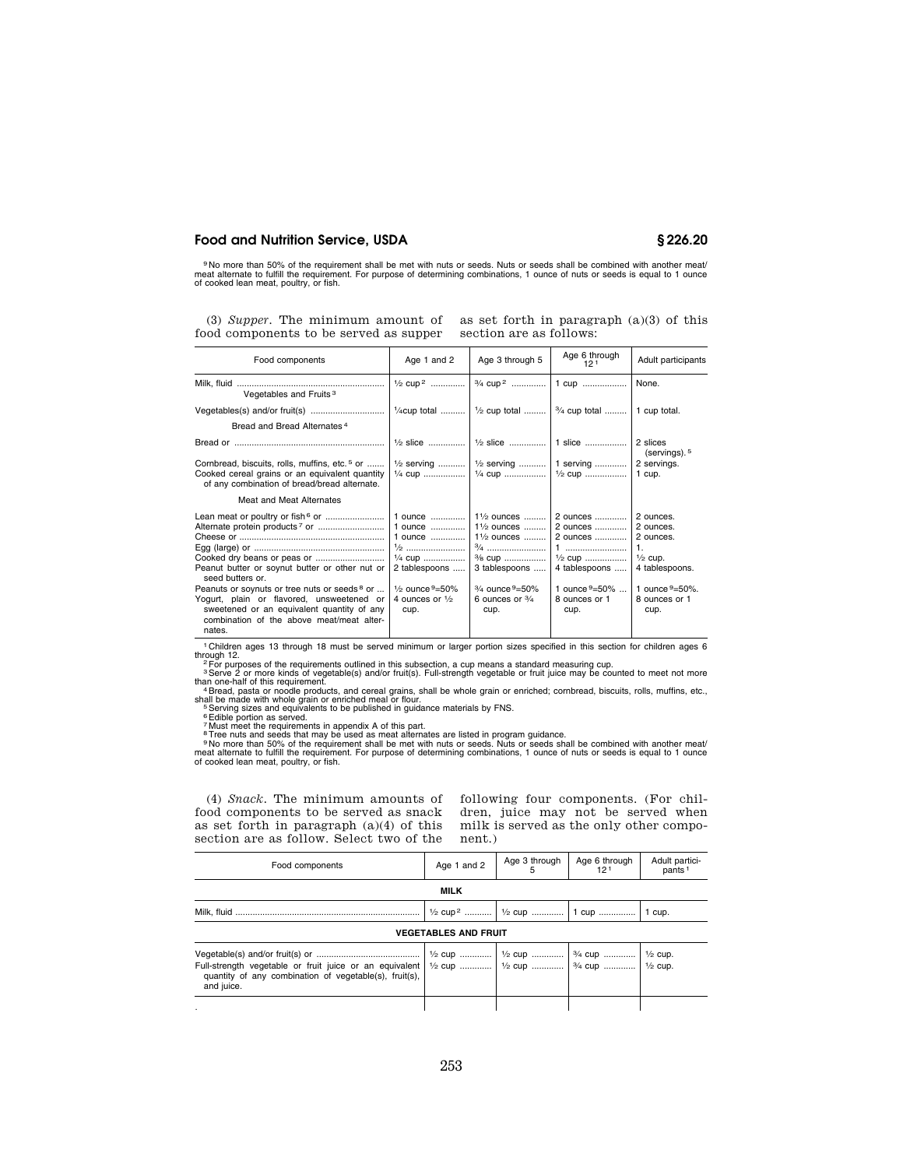<sup>9</sup> No more than 50% of the requirement shall be met with nuts or seeds. Nuts or seeds shall be combined with another meat/<br>meat alternate to fulfill the requirement. For purpose of determining combinations, 1 ounce of nut

(3) *Supper*. The minimum amount of as set forth in paragraph  $(a)(3)$  of this food components to be served as supper

section are as follows:

| Age 1 and 2                                                                                                                                | Age 3 through 5                                                                                                                                                                                  | Age 6 through<br>121                                                                                                | Adult participants                                                                                                                                                                                                         |
|--------------------------------------------------------------------------------------------------------------------------------------------|--------------------------------------------------------------------------------------------------------------------------------------------------------------------------------------------------|---------------------------------------------------------------------------------------------------------------------|----------------------------------------------------------------------------------------------------------------------------------------------------------------------------------------------------------------------------|
| $\frac{1}{2}$ cup <sup>2</sup>                                                                                                             | 3/4 cup <sup>2</sup>                                                                                                                                                                             | 1 cup                                                                                                               | None.                                                                                                                                                                                                                      |
|                                                                                                                                            |                                                                                                                                                                                                  |                                                                                                                     | 1 cup total.                                                                                                                                                                                                               |
|                                                                                                                                            |                                                                                                                                                                                                  |                                                                                                                     |                                                                                                                                                                                                                            |
|                                                                                                                                            |                                                                                                                                                                                                  |                                                                                                                     | 2 slices<br>(servings). <sup>5</sup>                                                                                                                                                                                       |
|                                                                                                                                            |                                                                                                                                                                                                  |                                                                                                                     | 2 servings.                                                                                                                                                                                                                |
|                                                                                                                                            |                                                                                                                                                                                                  |                                                                                                                     |                                                                                                                                                                                                                            |
| 1 ounce<br>1 ounce<br>1 ounce<br>$\frac{1}{4}$ cup<br>2 tablespoons<br>$\frac{1}{2}$ ounce $9 = 50\%$<br>4 ounces or $\frac{1}{2}$<br>cup. | $1\frac{1}{2}$ ounces<br>$1\frac{1}{2}$ ounces<br>$1\frac{1}{2}$ ounces<br>$\frac{3}{4}$<br>% cup<br>3 tablespoons<br>$\frac{3}{4}$ ounce $\frac{9}{2}$ 50%<br>6 ounces or $\frac{3}{4}$<br>cup. | 2 ounces<br>2 ounces<br>2 ounces<br>$\frac{1}{2}$ cup<br>4 tablespoons<br>1 ounce $9=50\%$<br>8 ounces or 1<br>cup. | 2 ounces.<br>2 ounces.<br>2 ounces.<br>$\overline{1}$ .<br>$\frac{1}{2}$ cup.<br>4 tablespoons.<br>1 ounce $9 = 50\%$ .<br>8 ounces or 1<br>cup.                                                                           |
|                                                                                                                                            | $\frac{1}{4}$ cup total<br>$\frac{1}{2}$ serving                                                                                                                                                 |                                                                                                                     | $\frac{1}{2}$ cup total $\frac{3}{4}$ cup total<br>$\frac{1}{2}$ slice    $\frac{1}{2}$ slice    1 slice<br>$\frac{1}{2}$ serving    1 serving   <br>$\frac{1}{4}$ cup    $\frac{1}{4}$ cup    $\frac{1}{2}$ cup    1 cup. |

<sup>1</sup> Children ages 13 through 18 must be served minimum or larger portion sizes specified in this section for children ages 6<br>
<sup>2</sup> For purposes of the requirements outlined in this subsection, a cup means a standard measuri

(4) *Snack.* The minimum amounts of food components to be served as snack as set forth in paragraph  $(a)(4)$  of this section are as follow. Select two of the

following four components. (For children, juice may not be served when milk is served as the only other component.)

| Food components                                                      | Age 1 and 2 | Age 3 through | Age 6 through<br>121                              | Adult partici-<br>pants <sup>1</sup> |  |
|----------------------------------------------------------------------|-------------|---------------|---------------------------------------------------|--------------------------------------|--|
| <b>MILK</b>                                                          |             |               |                                                   |                                      |  |
|                                                                      |             |               | 1/2 cup <sup>2</sup>   1/2 cup    1 cup    1 cup. |                                      |  |
| <b>VEGETABLES AND FRUIT</b>                                          |             |               |                                                   |                                      |  |
| quantity of any combination of vegetable(s), fruit(s),<br>and juice. |             |               |                                                   |                                      |  |
|                                                                      |             |               |                                                   |                                      |  |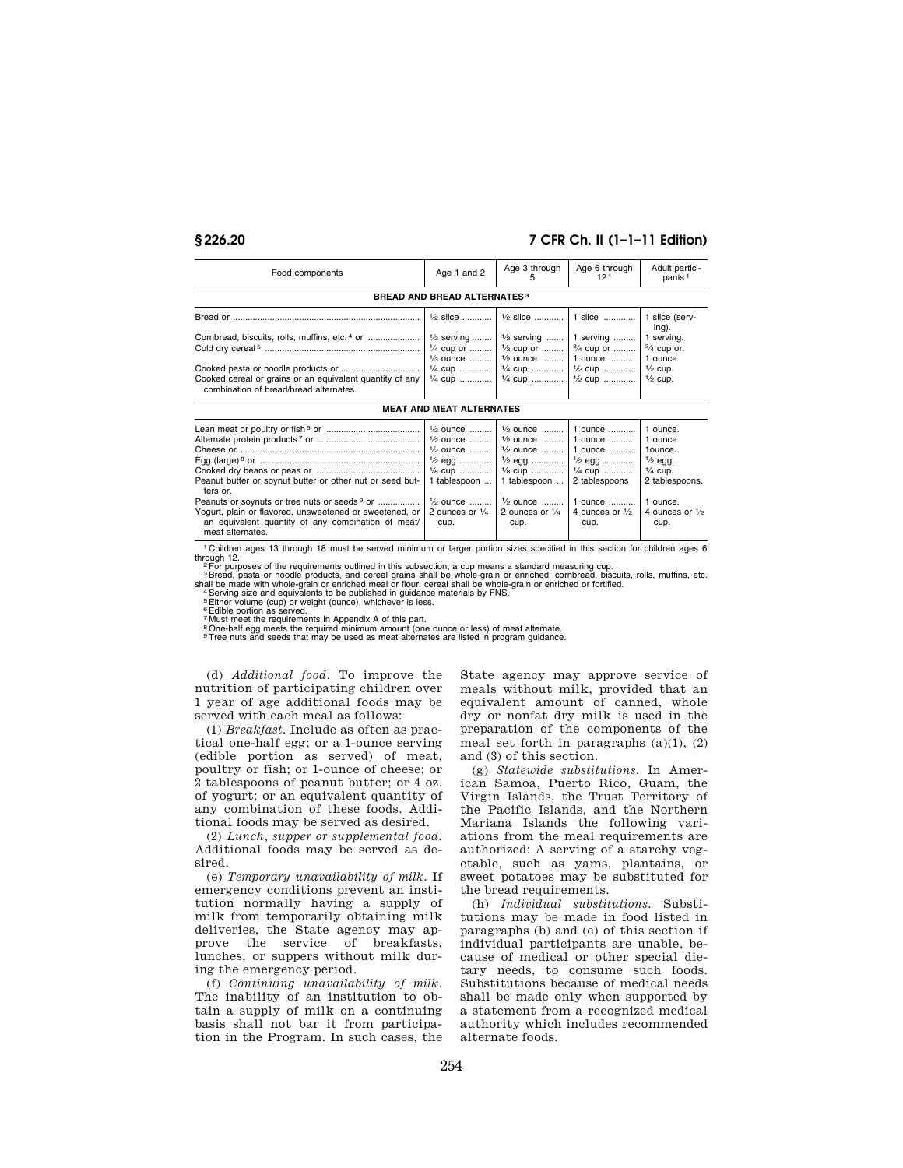# **§ 226.20 7 CFR Ch. II (1–1–11 Edition)**

| Food components                                           | Age 1 and 2                                                               | Age 3 through                                                           | Age 6 through<br>12 <sup>1</sup> | Adult partici-<br>pants <sup>1</sup> |  |  |  |
|-----------------------------------------------------------|---------------------------------------------------------------------------|-------------------------------------------------------------------------|----------------------------------|--------------------------------------|--|--|--|
|                                                           | <b>BREAD AND BREAD ALTERNATES3</b>                                        |                                                                         |                                  |                                      |  |  |  |
|                                                           |                                                                           | $\frac{1}{2}$ slice    $\frac{1}{2}$ slice    1 slice    1 slice (serv- |                                  | ing).                                |  |  |  |
| Cornbread, biscuits, rolls, muffins, etc. <sup>4</sup> or | $\frac{1}{2}$ serving    $\frac{1}{2}$ serving    1 serving    1 serving. | $\frac{1}{3}$ ounce    $\frac{1}{2}$ ounce    1 ounce    1 ounce.       |                                  |                                      |  |  |  |
| combination of bread/bread alternates.                    |                                                                           | 1/4 cup    1/4 cup    1/2 cup    1/2 cup.                               |                                  |                                      |  |  |  |
| <b>MEAT AND MEAT ALTERNATES</b>                           |                                                                           |                                                                         |                                  |                                      |  |  |  |

| Lean meat or poultry or fish $6$ or $\ldots$ $\ldots$ $\ldots$ $\ldots$ $\ldots$ $\ldots$ $\ldots$ $\ldots$ $\ldots$ $\ldots$ $\ldots$ $\ldots$ $\ldots$ $\ldots$ $\ldots$ $\ldots$ $\ldots$ $\ldots$ $\ldots$ $\ldots$ $\ldots$ $\ldots$ $\ldots$ $\ldots$ $\ldots$ $\ldots$ $\ldots$ $\ldots$ $\ldots$ $\ldots$ |                                                                   |      |      |      |
|-------------------------------------------------------------------------------------------------------------------------------------------------------------------------------------------------------------------------------------------------------------------------------------------------------------------|-------------------------------------------------------------------|------|------|------|
|                                                                                                                                                                                                                                                                                                                   |                                                                   |      |      |      |
|                                                                                                                                                                                                                                                                                                                   | $\frac{1}{2}$ ounce    $\frac{1}{2}$ ounce    1 ounce    1 ounce. |      |      |      |
|                                                                                                                                                                                                                                                                                                                   |                                                                   |      |      |      |
|                                                                                                                                                                                                                                                                                                                   |                                                                   |      |      |      |
| Peanut butter or soynut butter or other nut or seed but- 1 tablespoon  1 tablespoon    2 tablespoons   2 tablespoons.<br>ters or.                                                                                                                                                                                 |                                                                   |      |      |      |
|                                                                                                                                                                                                                                                                                                                   |                                                                   |      |      |      |
| Yogurt, plain or flavored, unsweetened or sweetened, or 2 ounces or $\frac{1}{4}$ 2 ounces or $\frac{1}{4}$ 4 ounces or $\frac{1}{2}$ 4 ounces or $\frac{1}{2}$                                                                                                                                                   |                                                                   |      |      |      |
| an equivalent quantity of any combination of meat/                                                                                                                                                                                                                                                                | cup.                                                              | cup. | cup. | cup. |
| meat alternates.                                                                                                                                                                                                                                                                                                  |                                                                   |      |      |      |

1 Children ages 13 through 18 must be served minimum or larger portion sizes specified in this section for children ages 6 through 12.<br>- <sup>2</sup> For purposes of the requirements outlined in this subsection, a cup means a standard measuring cup.<br>- <sup>3</sup> Bread, pasta or noodle products, and cereal grains shall be whole-grain or enriched; cornbread, b

shall be made with whole-grain or enriched meal or flour; cereal shall be whole-grain or enriched or fortified.<br><sup>4</sup> Serving size and equivalents to be published in guidance materials by FNS.<br><sup>5</sup> Either volume (cup) or weig

7 Must meet the requirements in Appendix A of this part.

8One-half egg meets the required minimum amount (one ounce or less) of meat alternate. 9Tree nuts and seeds that may be used as meat alternates are listed in program guidance.

(d) *Additional food.* To improve the nutrition of participating children over 1 year of age additional foods may be served with each meal as follows:

(1) *Breakfast.* Include as often as practical one-half egg; or a 1-ounce serving (edible portion as served) of meat, poultry or fish; or 1-ounce of cheese; or 2 tablespoons of peanut butter; or 4 oz. of yogurt; or an equivalent quantity of any combination of these foods. Additional foods may be served as desired.

(2) *Lunch, supper or supplemental food.*  Additional foods may be served as desired.

(e) *Temporary unavailability of milk.* If emergency conditions prevent an institution normally having a supply of milk from temporarily obtaining milk deliveries, the State agency may approve the service of breakfasts, lunches, or suppers without milk during the emergency period.

(f) *Continuing unavailability of milk.*  The inability of an institution to obtain a supply of milk on a continuing basis shall not bar it from participation in the Program. In such cases, the State agency may approve service of meals without milk, provided that an equivalent amount of canned, whole dry or nonfat dry milk is used in the preparation of the components of the meal set forth in paragraphs  $(a)(1)$ ,  $(2)$ and (3) of this section.

(g) *Statewide substitutions.* In American Samoa, Puerto Rico, Guam, the Virgin Islands, the Trust Territory of the Pacific Islands, and the Northern Mariana Islands the following variations from the meal requirements are authorized: A serving of a starchy vegetable, such as yams, plantains, or sweet potatoes may be substituted for the bread requirements.

(h) *Individual substitutions.* Substitutions may be made in food listed in paragraphs (b) and (c) of this section if individual participants are unable, because of medical or other special dietary needs, to consume such foods. Substitutions because of medical needs shall be made only when supported by a statement from a recognized medical authority which includes recommended alternate foods.